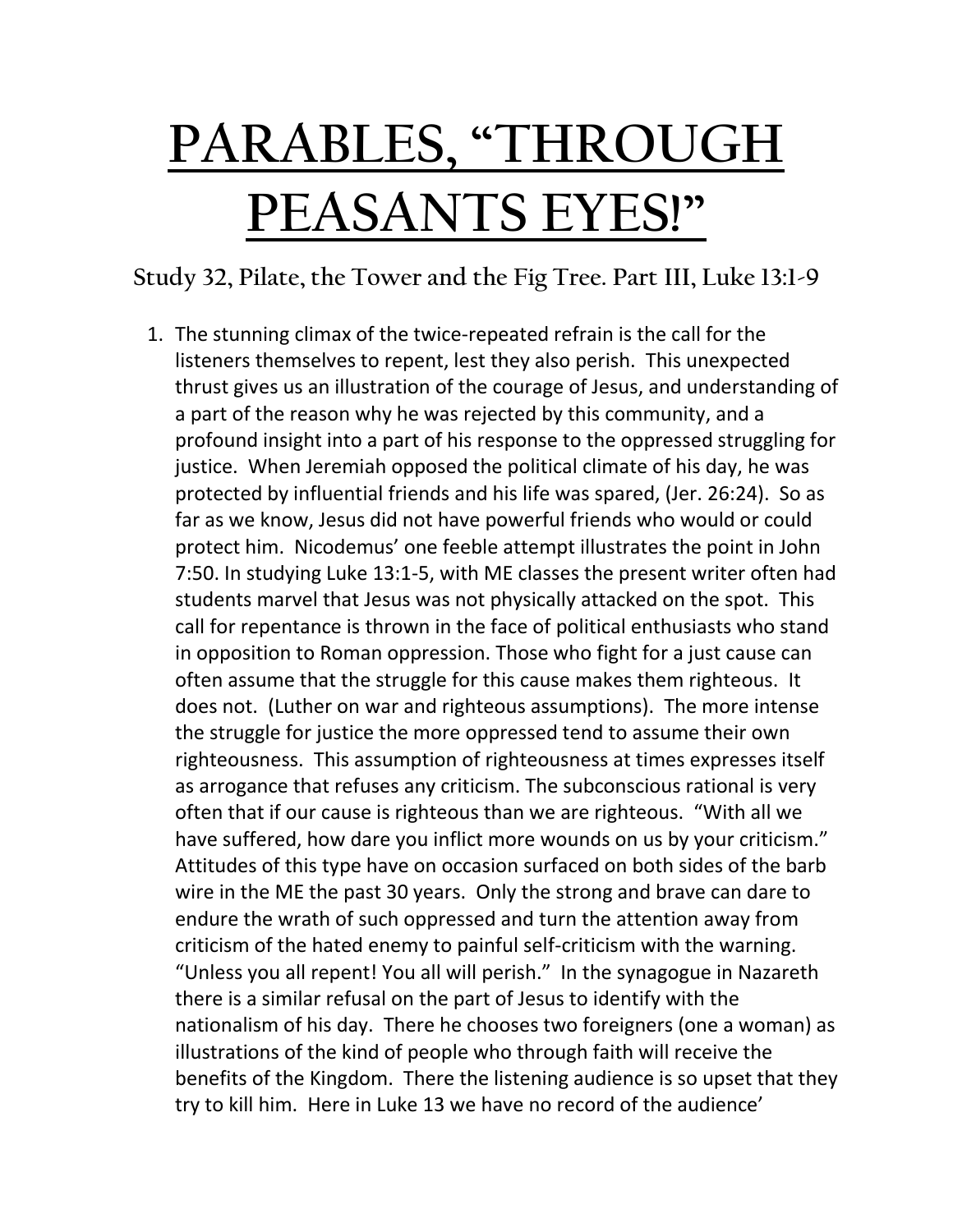# **PARABLES, "THROUGH PEASANTS EYES!"**

**Study 32, Pilate, the Tower and the Fig Tree. Part III, Luke 13:1-9**

1. The stunning climax of the twice-repeated refrain is the call for the listeners themselves to repent, lest they also perish. This unexpected thrust gives us an illustration of the courage of Jesus, and understanding of a part of the reason why he was rejected by this community, and a profound insight into a part of his response to the oppressed struggling for justice. When Jeremiah opposed the political climate of his day, he was protected by influential friends and his life was spared, (Jer. 26:24). So as far as we know, Jesus did not have powerful friends who would or could protect him. Nicodemus' one feeble attempt illustrates the point in John 7:50. In studying Luke 13:1-5, with ME classes the present writer often had students marvel that Jesus was not physically attacked on the spot. This call for repentance is thrown in the face of political enthusiasts who stand in opposition to Roman oppression. Those who fight for a just cause can often assume that the struggle for this cause makes them righteous. It does not. (Luther on war and righteous assumptions). The more intense the struggle for justice the more oppressed tend to assume their own righteousness. This assumption of righteousness at times expresses itself as arrogance that refuses any criticism. The subconscious rational is very often that if our cause is righteous than we are righteous. "With all we have suffered, how dare you inflict more wounds on us by your criticism." Attitudes of this type have on occasion surfaced on both sides of the barb wire in the ME the past 30 years. Only the strong and brave can dare to endure the wrath of such oppressed and turn the attention away from criticism of the hated enemy to painful self-criticism with the warning. "Unless you all repent! You all will perish." In the synagogue in Nazareth there is a similar refusal on the part of Jesus to identify with the nationalism of his day. There he chooses two foreigners (one a woman) as illustrations of the kind of people who through faith will receive the benefits of the Kingdom. There the listening audience is so upset that they try to kill him. Here in Luke 13 we have no record of the audience'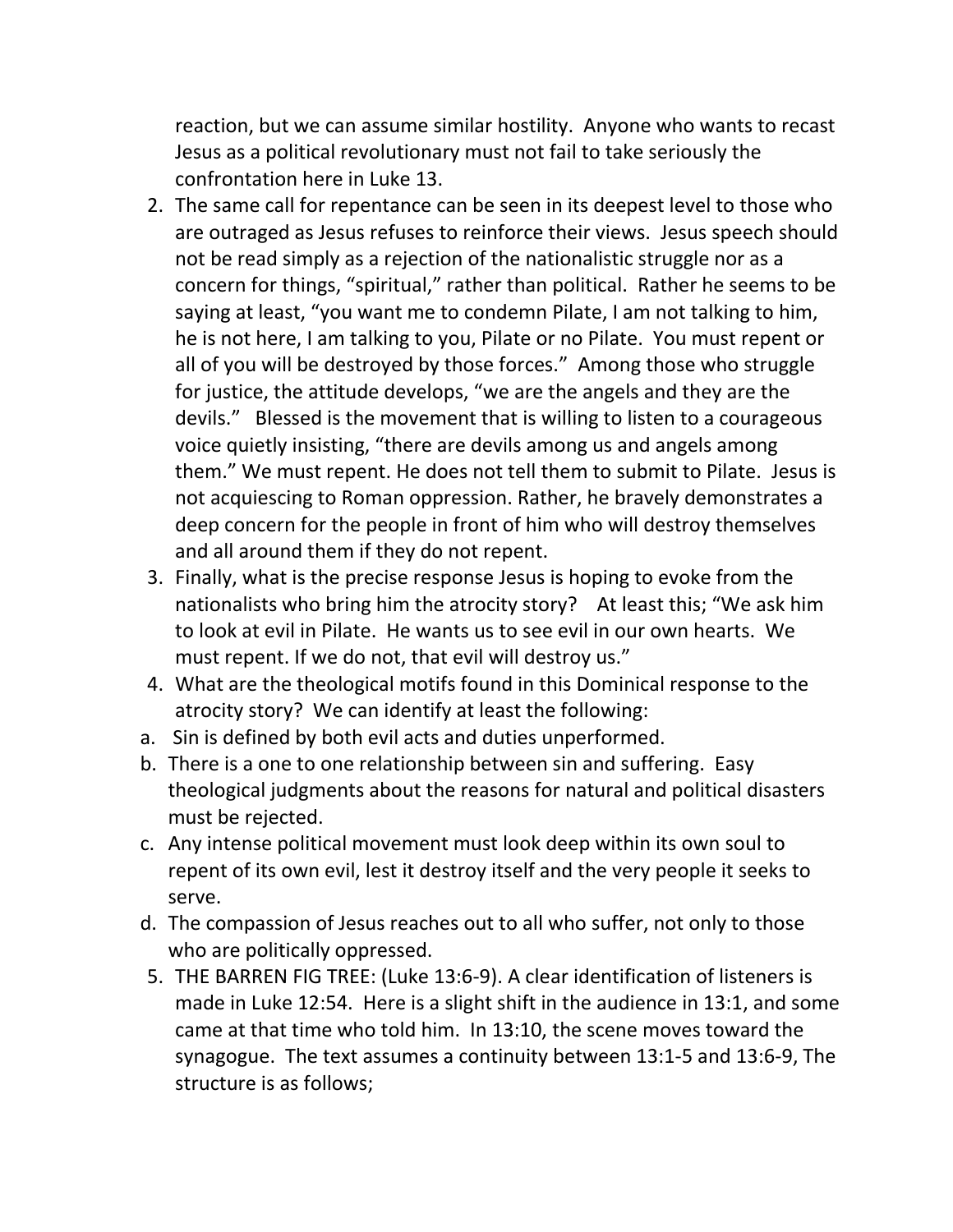reaction, but we can assume similar hostility. Anyone who wants to recast Jesus as a political revolutionary must not fail to take seriously the confrontation here in Luke 13.

- 2. The same call for repentance can be seen in its deepest level to those who are outraged as Jesus refuses to reinforce their views. Jesus speech should not be read simply as a rejection of the nationalistic struggle nor as a concern for things, "spiritual," rather than political. Rather he seems to be saying at least, "you want me to condemn Pilate, I am not talking to him, he is not here, I am talking to you, Pilate or no Pilate. You must repent or all of you will be destroyed by those forces." Among those who struggle for justice, the attitude develops, "we are the angels and they are the devils." Blessed is the movement that is willing to listen to a courageous voice quietly insisting, "there are devils among us and angels among them." We must repent. He does not tell them to submit to Pilate. Jesus is not acquiescing to Roman oppression. Rather, he bravely demonstrates a deep concern for the people in front of him who will destroy themselves and all around them if they do not repent.
- 3. Finally, what is the precise response Jesus is hoping to evoke from the nationalists who bring him the atrocity story? At least this; "We ask him to look at evil in Pilate. He wants us to see evil in our own hearts. We must repent. If we do not, that evil will destroy us."
- 4. What are the theological motifs found in this Dominical response to the atrocity story? We can identify at least the following:
- a. Sin is defined by both evil acts and duties unperformed.
- b. There is a one to one relationship between sin and suffering. Easy theological judgments about the reasons for natural and political disasters must be rejected.
- c. Any intense political movement must look deep within its own soul to repent of its own evil, lest it destroy itself and the very people it seeks to serve.
- d. The compassion of Jesus reaches out to all who suffer, not only to those who are politically oppressed.
- 5. THE BARREN FIG TREE: (Luke 13:6-9). A clear identification of listeners is made in Luke 12:54. Here is a slight shift in the audience in 13:1, and some came at that time who told him. In 13:10, the scene moves toward the synagogue. The text assumes a continuity between 13:1-5 and 13:6-9, The structure is as follows;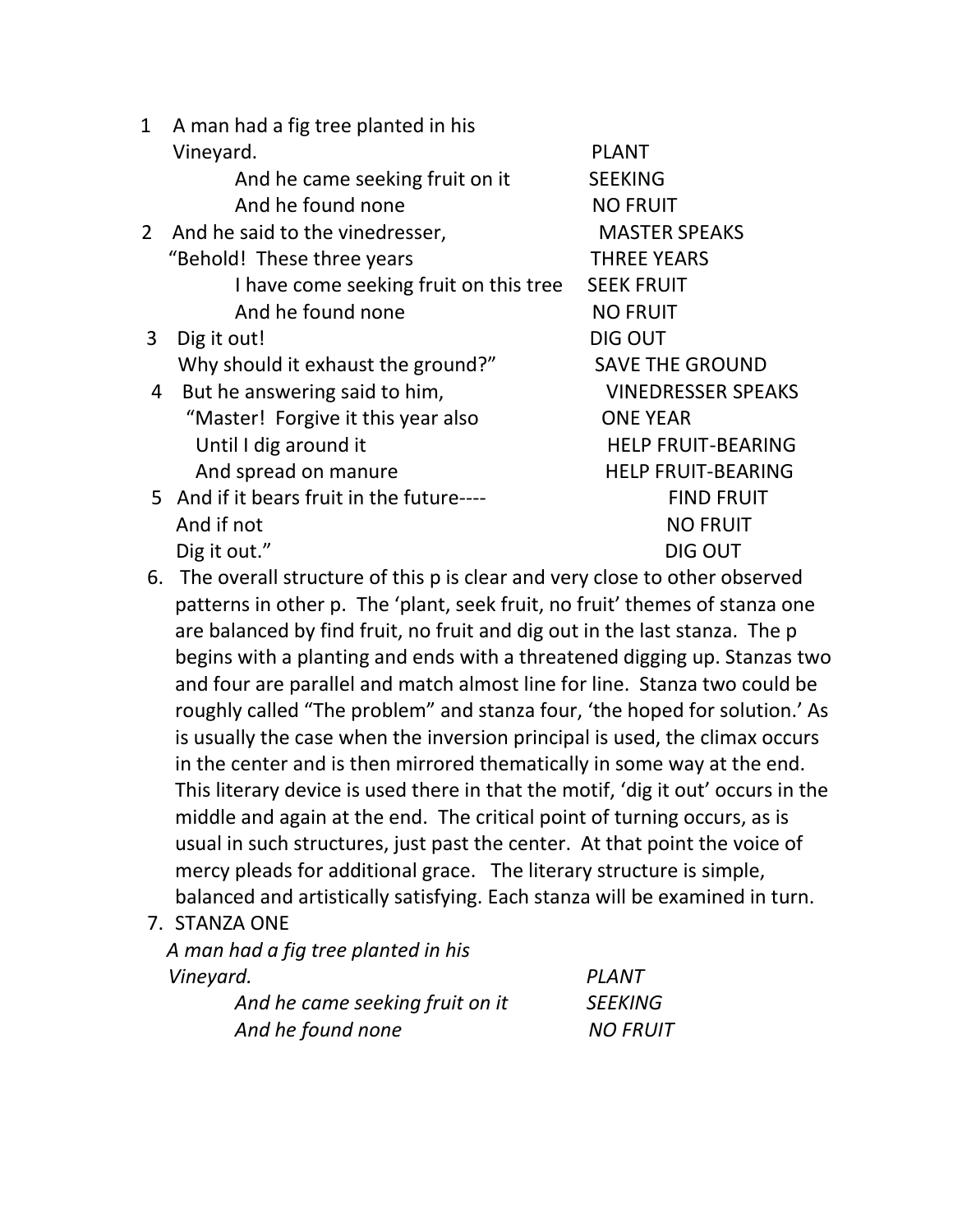- 1 A man had a fig tree planted in his Vineyard. The contract of the contract of the plant of the plant of the plant of the plant of the contract of the contract of the contract of the contract of the contract of the contract of the contract of the contract of And he came seeking fruit on it SEEKING And he found none NO FRUIT 2 And he said to the vinedresser. MASTER SPEAKS "Behold! These three years THREE YEARS I have come seeking fruit on this tree SEEK FRUIT And he found none NO FRUIT 3 Dig it out! DIG OUT Why should it exhaust the ground?" SAVE THE GROUND 4 But he answering said to him, The MINEDRESSER SPEAKS "Master! Forgive it this year also ONE YEAR Until I dig around it HELP FRUIT-BEARING And spread on manure HELP FRUIT-BEARING 5 And if it bears fruit in the future---- FIND FRUIT And if not NO FRUIT Dig it out." DIG OUT
- 6. The overall structure of this p is clear and very close to other observed patterns in other p. The 'plant, seek fruit, no fruit' themes of stanza one are balanced by find fruit, no fruit and dig out in the last stanza. The p begins with a planting and ends with a threatened digging up. Stanzas two and four are parallel and match almost line for line. Stanza two could be roughly called "The problem" and stanza four, 'the hoped for solution.' As is usually the case when the inversion principal is used, the climax occurs in the center and is then mirrored thematically in some way at the end. This literary device is used there in that the motif, 'dig it out' occurs in the middle and again at the end. The critical point of turning occurs, as is usual in such structures, just past the center. At that point the voice of mercy pleads for additional grace. The literary structure is simple, balanced and artistically satisfying. Each stanza will be examined in turn.
- 7. STANZA ONE

 *A man had a fig tree planted in his Vineyard. PLANT*

| ,,,,,,,,,,,,                    | .               |
|---------------------------------|-----------------|
| And he came seeking fruit on it | <b>SEEKING</b>  |
| And he found none               | <b>NO FRUIT</b> |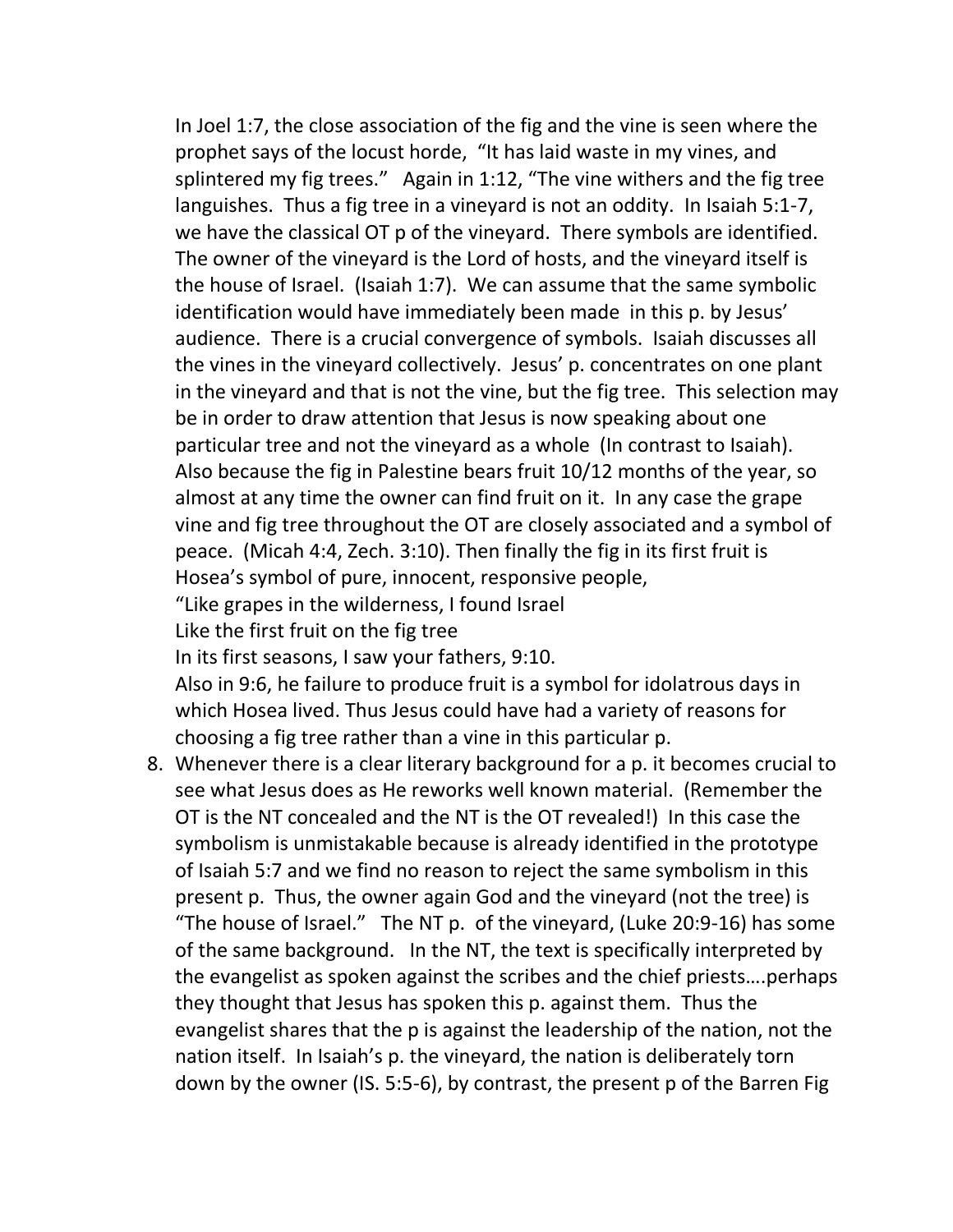In Joel 1:7, the close association of the fig and the vine is seen where the prophet says of the locust horde, "It has laid waste in my vines, and splintered my fig trees." Again in 1:12, "The vine withers and the fig tree languishes. Thus a fig tree in a vineyard is not an oddity. In Isaiah 5:1-7, we have the classical OT p of the vineyard. There symbols are identified. The owner of the vineyard is the Lord of hosts, and the vineyard itself is the house of Israel. (Isaiah 1:7). We can assume that the same symbolic identification would have immediately been made in this p. by Jesus' audience. There is a crucial convergence of symbols. Isaiah discusses all the vines in the vineyard collectively. Jesus' p. concentrates on one plant in the vineyard and that is not the vine, but the fig tree. This selection may be in order to draw attention that Jesus is now speaking about one particular tree and not the vineyard as a whole (In contrast to Isaiah). Also because the fig in Palestine bears fruit 10/12 months of the year, so almost at any time the owner can find fruit on it. In any case the grape vine and fig tree throughout the OT are closely associated and a symbol of peace. (Micah 4:4, Zech. 3:10). Then finally the fig in its first fruit is Hosea's symbol of pure, innocent, responsive people,

"Like grapes in the wilderness, I found Israel

Like the first fruit on the fig tree

In its first seasons, I saw your fathers, 9:10.

Also in 9:6, he failure to produce fruit is a symbol for idolatrous days in which Hosea lived. Thus Jesus could have had a variety of reasons for choosing a fig tree rather than a vine in this particular p.

8. Whenever there is a clear literary background for a p. it becomes crucial to see what Jesus does as He reworks well known material. (Remember the OT is the NT concealed and the NT is the OT revealed!) In this case the symbolism is unmistakable because is already identified in the prototype of Isaiah 5:7 and we find no reason to reject the same symbolism in this present p. Thus, the owner again God and the vineyard (not the tree) is "The house of Israel." The NT p. of the vineyard, (Luke 20:9-16) has some of the same background. In the NT, the text is specifically interpreted by the evangelist as spoken against the scribes and the chief priests….perhaps they thought that Jesus has spoken this p. against them. Thus the evangelist shares that the p is against the leadership of the nation, not the nation itself. In Isaiah's p. the vineyard, the nation is deliberately torn down by the owner (IS. 5:5-6), by contrast, the present p of the Barren Fig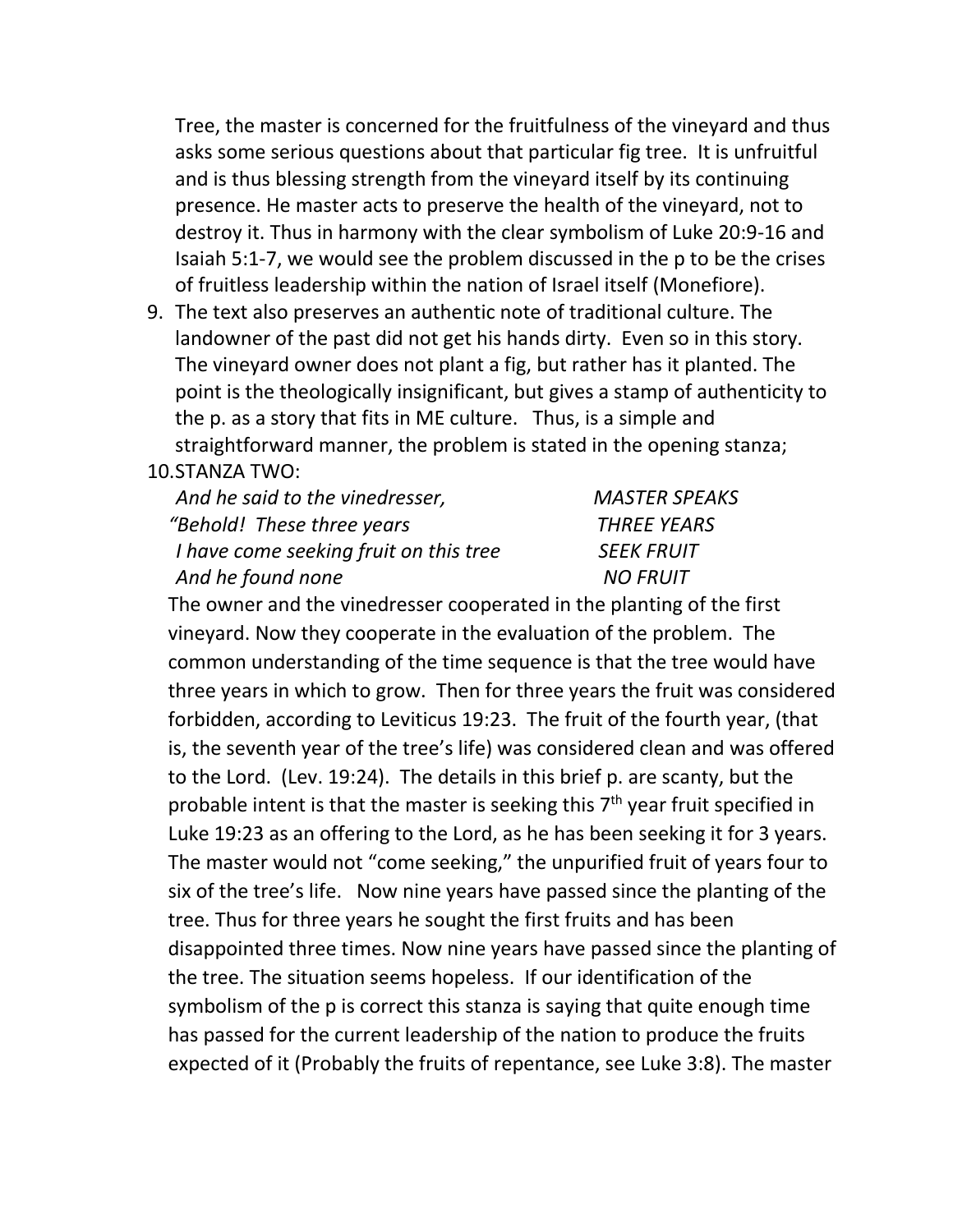Tree, the master is concerned for the fruitfulness of the vineyard and thus asks some serious questions about that particular fig tree. It is unfruitful and is thus blessing strength from the vineyard itself by its continuing presence. He master acts to preserve the health of the vineyard, not to destroy it. Thus in harmony with the clear symbolism of Luke 20:9-16 and Isaiah 5:1-7, we would see the problem discussed in the p to be the crises of fruitless leadership within the nation of Israel itself (Monefiore).

9. The text also preserves an authentic note of traditional culture. The landowner of the past did not get his hands dirty. Even so in this story. The vineyard owner does not plant a fig, but rather has it planted. The point is the theologically insignificant, but gives a stamp of authenticity to the p. as a story that fits in ME culture. Thus, is a simple and straightforward manner, the problem is stated in the opening stanza;

## 10.STANZA TWO:

| And he said to the vinedresser,        | <b>MASTER SPEAKS</b> |
|----------------------------------------|----------------------|
| "Behold! These three years             | <b>THREE YEARS</b>   |
| I have come seeking fruit on this tree | <b>SEEK FRUIT</b>    |
| And he found none                      | <b>NO FRUIT</b>      |

The owner and the vinedresser cooperated in the planting of the first vineyard. Now they cooperate in the evaluation of the problem. The common understanding of the time sequence is that the tree would have three years in which to grow. Then for three years the fruit was considered forbidden, according to Leviticus 19:23. The fruit of the fourth year, (that is, the seventh year of the tree's life) was considered clean and was offered to the Lord. (Lev. 19:24). The details in this brief p. are scanty, but the probable intent is that the master is seeking this  $7<sup>th</sup>$  year fruit specified in Luke 19:23 as an offering to the Lord, as he has been seeking it for 3 years. The master would not "come seeking," the unpurified fruit of years four to six of the tree's life. Now nine years have passed since the planting of the tree. Thus for three years he sought the first fruits and has been disappointed three times. Now nine years have passed since the planting of the tree. The situation seems hopeless. If our identification of the symbolism of the p is correct this stanza is saying that quite enough time has passed for the current leadership of the nation to produce the fruits expected of it (Probably the fruits of repentance, see Luke 3:8). The master